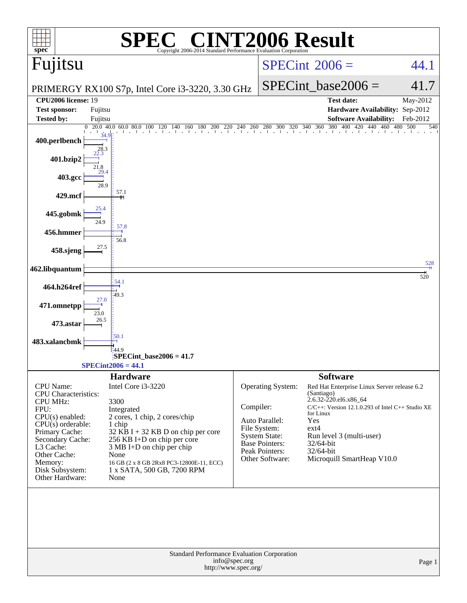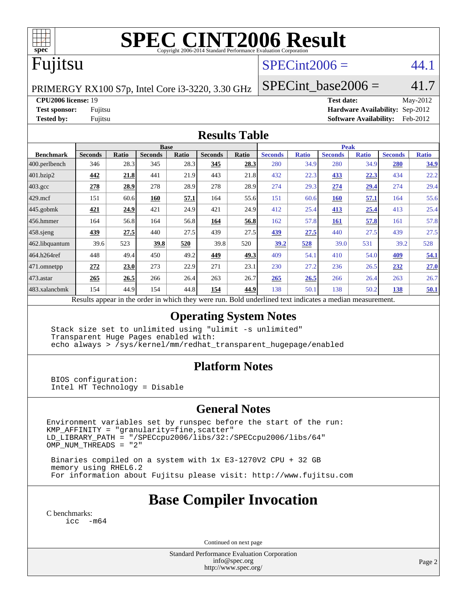

# **[SPEC CINT2006 Result](http://www.spec.org/auto/cpu2006/Docs/result-fields.html#SPECCINT2006Result)**

# Fujitsu

### $SPECint2006 = 44.1$  $SPECint2006 = 44.1$

PRIMERGY RX100 S7p, Intel Core i3-3220, 3.30 GHz

 $SPECTnt\_base2006 = 41.7$ 

**[CPU2006 license:](http://www.spec.org/auto/cpu2006/Docs/result-fields.html#CPU2006license)** 19 **[Test date:](http://www.spec.org/auto/cpu2006/Docs/result-fields.html#Testdate)** May-2012

**[Test sponsor:](http://www.spec.org/auto/cpu2006/Docs/result-fields.html#Testsponsor)** Fujitsu **[Hardware Availability:](http://www.spec.org/auto/cpu2006/Docs/result-fields.html#HardwareAvailability)** Sep-2012 **[Tested by:](http://www.spec.org/auto/cpu2006/Docs/result-fields.html#Testedby)** Fujitsu **[Software Availability:](http://www.spec.org/auto/cpu2006/Docs/result-fields.html#SoftwareAvailability)** Feb-2012

#### **[Results Table](http://www.spec.org/auto/cpu2006/Docs/result-fields.html#ResultsTable)**

|                                                                                                          | <b>Base</b>    |              |                |       |                | <b>Peak</b> |                |              |                |              |                |              |
|----------------------------------------------------------------------------------------------------------|----------------|--------------|----------------|-------|----------------|-------------|----------------|--------------|----------------|--------------|----------------|--------------|
| <b>Benchmark</b>                                                                                         | <b>Seconds</b> | <b>Ratio</b> | <b>Seconds</b> | Ratio | <b>Seconds</b> | Ratio       | <b>Seconds</b> | <b>Ratio</b> | <b>Seconds</b> | <b>Ratio</b> | <b>Seconds</b> | <b>Ratio</b> |
| 400.perlbench                                                                                            | 346            | 28.3         | 345            | 28.3  | 345            | 28.3        | 280            | 34.9         | 280            | 34.9         | <b>280</b>     | 34.9         |
| 401.bzip2                                                                                                | 442            | 21.8         | 441            | 21.9  | 443            | 21.8        | 432            | 22.3         | 433            | 22.3         | 434            | 22.2         |
| $403.\text{gcc}$                                                                                         | 278            | 28.9         | 278            | 28.9  | 278            | 28.9        | 274            | 29.3         | 274            | 29.4         | 274            | 29.4         |
| $429$ .mcf                                                                                               | 151            | 60.6         | 160            | 57.1  | 164            | 55.6        | 151            | 60.6         | <b>160</b>     | 57.1         | 164            | 55.6         |
| $445$ .gobmk                                                                                             | 421            | 24.9         | 421            | 24.9  | 421            | 24.9        | 412            | 25.4         | 413            | 25.4         | 413            | 25.4         |
| 456.hmmer                                                                                                | 164            | 56.8         | 164            | 56.8  | 164            | 56.8        | 162            | 57.8         | 161            | 57.8         | 161            | 57.8         |
| $458$ .sjeng                                                                                             | 439            | 27.5         | 440            | 27.5  | 439            | 27.5        | 439            | 27.5         | 440            | 27.5         | 439            | 27.5         |
| 462.libquantum                                                                                           | 39.6           | 523          | 39.8           | 520   | 39.8           | 520         | 39.2           | 528          | 39.0           | 531          | 39.2           | 528          |
| 464.h264ref                                                                                              | 448            | 49.4         | 450            | 49.2  | 449            | 49.3        | 409            | 54.1         | 410            | 54.0         | 409            | 54.1         |
| 471.omnetpp                                                                                              | 272            | 23.0         | 273            | 22.9  | 271            | 23.1        | 230            | 27.2         | 236            | 26.5         | 232            | 27.0         |
| $473$ . astar                                                                                            | 265            | 26.5         | 266            | 26.4  | 263            | 26.7        | 265            | 26.5         | 266            | 26.4         | 263            | 26.7         |
| 483.xalancbmk                                                                                            | 154            | 44.9         | 154            | 44.8  | 154            | 44.9        | 138            | 50.1         | 138            | 50.2         | 138            | 50.1         |
| Results appear in the order in which they were run. Bold underlined text indicates a median measurement. |                |              |                |       |                |             |                |              |                |              |                |              |

#### **[Operating System Notes](http://www.spec.org/auto/cpu2006/Docs/result-fields.html#OperatingSystemNotes)**

 Stack size set to unlimited using "ulimit -s unlimited" Transparent Huge Pages enabled with: echo always > /sys/kernel/mm/redhat\_transparent\_hugepage/enabled

#### **[Platform Notes](http://www.spec.org/auto/cpu2006/Docs/result-fields.html#PlatformNotes)**

 BIOS configuration: Intel HT Technology = Disable

#### **[General Notes](http://www.spec.org/auto/cpu2006/Docs/result-fields.html#GeneralNotes)**

Environment variables set by runspec before the start of the run: KMP\_AFFINITY = "granularity=fine,scatter" LD\_LIBRARY\_PATH = "/SPECcpu2006/libs/32:/SPECcpu2006/libs/64" OMP\_NUM\_THREADS = "2"

 Binaries compiled on a system with 1x E3-1270V2 CPU + 32 GB memory using RHEL6.2 For information about Fujitsu please visit: <http://www.fujitsu.com>

# **[Base Compiler Invocation](http://www.spec.org/auto/cpu2006/Docs/result-fields.html#BaseCompilerInvocation)**

[C benchmarks](http://www.spec.org/auto/cpu2006/Docs/result-fields.html#Cbenchmarks): [icc -m64](http://www.spec.org/cpu2006/results/res2012q3/cpu2006-20120822-24269.flags.html#user_CCbase_intel_icc_64bit_f346026e86af2a669e726fe758c88044)

Continued on next page

Standard Performance Evaluation Corporation [info@spec.org](mailto:info@spec.org) <http://www.spec.org/>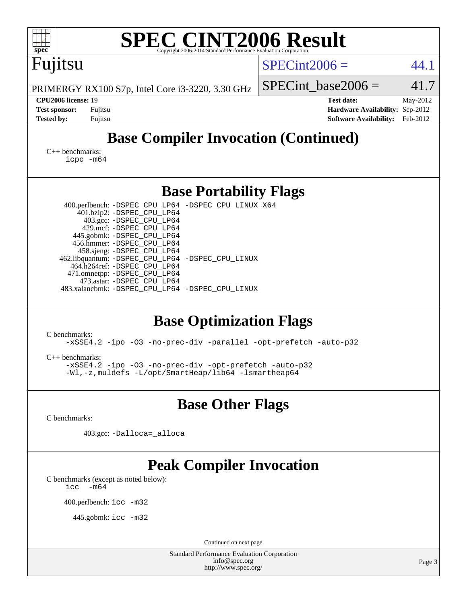| <b>SPEC CINT2006 Result</b>                                                                                                                                                                                                                                                                                                                                                                                                              |                                                                                                               |
|------------------------------------------------------------------------------------------------------------------------------------------------------------------------------------------------------------------------------------------------------------------------------------------------------------------------------------------------------------------------------------------------------------------------------------------|---------------------------------------------------------------------------------------------------------------|
| spec <sup>®</sup><br>Copyright 2006-2014 Standard Performance Evalu                                                                                                                                                                                                                                                                                                                                                                      |                                                                                                               |
| Fujitsu                                                                                                                                                                                                                                                                                                                                                                                                                                  | $SPECint2006 =$<br>44.1                                                                                       |
| PRIMERGY RX100 S7p, Intel Core i3-3220, 3.30 GHz                                                                                                                                                                                                                                                                                                                                                                                         | 41.7<br>$SPECint base2006 =$                                                                                  |
| CPU2006 license: 19<br><b>Test sponsor:</b><br>Fujitsu<br><b>Tested by:</b><br>Fujitsu                                                                                                                                                                                                                                                                                                                                                   | <b>Test date:</b><br>May-2012<br>Hardware Availability: Sep-2012<br><b>Software Availability:</b><br>Feb-2012 |
| <b>Base Compiler Invocation (Continued)</b>                                                                                                                                                                                                                                                                                                                                                                                              |                                                                                                               |
| $C_{++}$ benchmarks:<br>icpc -m64                                                                                                                                                                                                                                                                                                                                                                                                        |                                                                                                               |
| <b>Base Portability Flags</b>                                                                                                                                                                                                                                                                                                                                                                                                            |                                                                                                               |
| 400.perlbench: -DSPEC_CPU_LP64 -DSPEC_CPU_LINUX_X64<br>401.bzip2: -DSPEC_CPU_LP64<br>403.gcc: -DSPEC_CPU_LP64<br>429.mcf: -DSPEC_CPU_LP64<br>445.gobmk: -DSPEC_CPU_LP64<br>456.hmmer: -DSPEC_CPU_LP64<br>458.sjeng: -DSPEC_CPU_LP64<br>462.libquantum: -DSPEC_CPU_LP64 -DSPEC_CPU_LINUX<br>464.h264ref: -DSPEC_CPU_LP64<br>471.omnetpp: -DSPEC_CPU_LP64<br>473.astar: -DSPEC_CPU_LP64<br>483.xalancbmk: -DSPEC_CPU_LP64 -DSPEC_CPU_LINUX |                                                                                                               |
| <b>Base Optimization Flags</b><br>C benchmarks:<br>-xSSE4.2 -ipo -03 -no-prec-div -parallel -opt-prefetch -auto-p32                                                                                                                                                                                                                                                                                                                      |                                                                                                               |
| $C_{++}$ benchmarks:<br>-xSSE4.2 -ipo -03 -no-prec-div -opt-prefetch -auto-p32<br>-Wl,-z, muldefs -L/opt/SmartHeap/lib64 -lsmartheap64                                                                                                                                                                                                                                                                                                   |                                                                                                               |
| <b>Base Other Flags</b>                                                                                                                                                                                                                                                                                                                                                                                                                  |                                                                                                               |
| C benchmarks:<br>403.gcc: -Dalloca=_alloca                                                                                                                                                                                                                                                                                                                                                                                               |                                                                                                               |
| <b>Peak Compiler Invocation</b><br>C benchmarks (except as noted below):<br>$-m64$<br>icc                                                                                                                                                                                                                                                                                                                                                |                                                                                                               |
| 400.perlbench: icc -m32                                                                                                                                                                                                                                                                                                                                                                                                                  |                                                                                                               |
| 445.gobmk: icc -m32                                                                                                                                                                                                                                                                                                                                                                                                                      |                                                                                                               |
| Continued on next page                                                                                                                                                                                                                                                                                                                                                                                                                   |                                                                                                               |
| <b>Standard Performance Evaluation Corporation</b><br>info@spec.org<br>http://www.spec.org/                                                                                                                                                                                                                                                                                                                                              | Page 3                                                                                                        |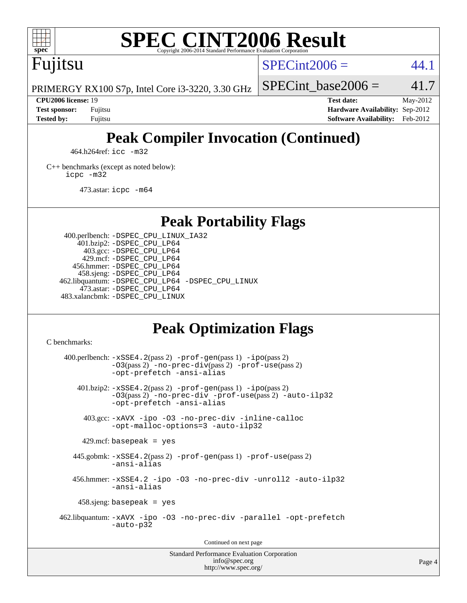

# **[SPEC CINT2006 Result](http://www.spec.org/auto/cpu2006/Docs/result-fields.html#SPECCINT2006Result)**

Fujitsu

 $SPECint2006 = 44.1$  $SPECint2006 = 44.1$ 

PRIMERGY RX100 S7p, Intel Core i3-3220, 3.30 GHz

SPECint base2006 =  $41.7$ 

**[CPU2006 license:](http://www.spec.org/auto/cpu2006/Docs/result-fields.html#CPU2006license)** 19 **[Test date:](http://www.spec.org/auto/cpu2006/Docs/result-fields.html#Testdate)** May-2012 **[Test sponsor:](http://www.spec.org/auto/cpu2006/Docs/result-fields.html#Testsponsor)** Fujitsu **[Hardware Availability:](http://www.spec.org/auto/cpu2006/Docs/result-fields.html#HardwareAvailability)** Sep-2012 **[Tested by:](http://www.spec.org/auto/cpu2006/Docs/result-fields.html#Testedby)** Fujitsu **[Software Availability:](http://www.spec.org/auto/cpu2006/Docs/result-fields.html#SoftwareAvailability)** Feb-2012

# **[Peak Compiler Invocation \(Continued\)](http://www.spec.org/auto/cpu2006/Docs/result-fields.html#PeakCompilerInvocation)**

464.h264ref: [icc -m32](http://www.spec.org/cpu2006/results/res2012q3/cpu2006-20120822-24269.flags.html#user_peakCCLD464_h264ref_intel_icc_a6a621f8d50482236b970c6ac5f55f93)

[C++ benchmarks \(except as noted below\):](http://www.spec.org/auto/cpu2006/Docs/result-fields.html#CXXbenchmarksexceptasnotedbelow) [icpc -m32](http://www.spec.org/cpu2006/results/res2012q3/cpu2006-20120822-24269.flags.html#user_CXXpeak_intel_icpc_4e5a5ef1a53fd332b3c49e69c3330699)

473.astar: [icpc -m64](http://www.spec.org/cpu2006/results/res2012q3/cpu2006-20120822-24269.flags.html#user_peakCXXLD473_astar_intel_icpc_64bit_fc66a5337ce925472a5c54ad6a0de310)

**[Peak Portability Flags](http://www.spec.org/auto/cpu2006/Docs/result-fields.html#PeakPortabilityFlags)**

 400.perlbench: [-DSPEC\\_CPU\\_LINUX\\_IA32](http://www.spec.org/cpu2006/results/res2012q3/cpu2006-20120822-24269.flags.html#b400.perlbench_peakCPORTABILITY_DSPEC_CPU_LINUX_IA32) 401.bzip2: [-DSPEC\\_CPU\\_LP64](http://www.spec.org/cpu2006/results/res2012q3/cpu2006-20120822-24269.flags.html#suite_peakPORTABILITY401_bzip2_DSPEC_CPU_LP64) 403.gcc: [-DSPEC\\_CPU\\_LP64](http://www.spec.org/cpu2006/results/res2012q3/cpu2006-20120822-24269.flags.html#suite_peakPORTABILITY403_gcc_DSPEC_CPU_LP64) 429.mcf: [-DSPEC\\_CPU\\_LP64](http://www.spec.org/cpu2006/results/res2012q3/cpu2006-20120822-24269.flags.html#suite_peakPORTABILITY429_mcf_DSPEC_CPU_LP64) 456.hmmer: [-DSPEC\\_CPU\\_LP64](http://www.spec.org/cpu2006/results/res2012q3/cpu2006-20120822-24269.flags.html#suite_peakPORTABILITY456_hmmer_DSPEC_CPU_LP64) 458.sjeng: [-DSPEC\\_CPU\\_LP64](http://www.spec.org/cpu2006/results/res2012q3/cpu2006-20120822-24269.flags.html#suite_peakPORTABILITY458_sjeng_DSPEC_CPU_LP64) 462.libquantum: [-DSPEC\\_CPU\\_LP64](http://www.spec.org/cpu2006/results/res2012q3/cpu2006-20120822-24269.flags.html#suite_peakPORTABILITY462_libquantum_DSPEC_CPU_LP64) [-DSPEC\\_CPU\\_LINUX](http://www.spec.org/cpu2006/results/res2012q3/cpu2006-20120822-24269.flags.html#b462.libquantum_peakCPORTABILITY_DSPEC_CPU_LINUX) 473.astar: [-DSPEC\\_CPU\\_LP64](http://www.spec.org/cpu2006/results/res2012q3/cpu2006-20120822-24269.flags.html#suite_peakPORTABILITY473_astar_DSPEC_CPU_LP64) 483.xalancbmk: [-DSPEC\\_CPU\\_LINUX](http://www.spec.org/cpu2006/results/res2012q3/cpu2006-20120822-24269.flags.html#b483.xalancbmk_peakCXXPORTABILITY_DSPEC_CPU_LINUX)

# **[Peak Optimization Flags](http://www.spec.org/auto/cpu2006/Docs/result-fields.html#PeakOptimizationFlags)**

[C benchmarks](http://www.spec.org/auto/cpu2006/Docs/result-fields.html#Cbenchmarks):

 $400.$ perlbench:  $-xSSE4$ .  $2(pass 2)$  -prof-qen(pass 1) [-ipo](http://www.spec.org/cpu2006/results/res2012q3/cpu2006-20120822-24269.flags.html#user_peakPASS2_CFLAGSPASS2_LDCFLAGS400_perlbench_f-ipo)(pass 2) [-O3](http://www.spec.org/cpu2006/results/res2012q3/cpu2006-20120822-24269.flags.html#user_peakPASS2_CFLAGSPASS2_LDCFLAGS400_perlbench_f-O3)(pass 2) [-no-prec-div](http://www.spec.org/cpu2006/results/res2012q3/cpu2006-20120822-24269.flags.html#user_peakPASS2_CFLAGSPASS2_LDCFLAGS400_perlbench_f-no-prec-div)(pass 2) [-prof-use](http://www.spec.org/cpu2006/results/res2012q3/cpu2006-20120822-24269.flags.html#user_peakPASS2_CFLAGSPASS2_LDCFLAGS400_perlbench_prof_use_bccf7792157ff70d64e32fe3e1250b55)(pass 2) [-opt-prefetch](http://www.spec.org/cpu2006/results/res2012q3/cpu2006-20120822-24269.flags.html#user_peakCOPTIMIZE400_perlbench_f-opt-prefetch) [-ansi-alias](http://www.spec.org/cpu2006/results/res2012q3/cpu2006-20120822-24269.flags.html#user_peakCOPTIMIZE400_perlbench_f-ansi-alias) 401.bzip2: [-xSSE4.2](http://www.spec.org/cpu2006/results/res2012q3/cpu2006-20120822-24269.flags.html#user_peakPASS2_CFLAGSPASS2_LDCFLAGS401_bzip2_f-xSSE42_f91528193cf0b216347adb8b939d4107)(pass 2) [-prof-gen](http://www.spec.org/cpu2006/results/res2012q3/cpu2006-20120822-24269.flags.html#user_peakPASS1_CFLAGSPASS1_LDCFLAGS401_bzip2_prof_gen_e43856698f6ca7b7e442dfd80e94a8fc)(pass 1) [-ipo](http://www.spec.org/cpu2006/results/res2012q3/cpu2006-20120822-24269.flags.html#user_peakPASS2_CFLAGSPASS2_LDCFLAGS401_bzip2_f-ipo)(pass 2) [-O3](http://www.spec.org/cpu2006/results/res2012q3/cpu2006-20120822-24269.flags.html#user_peakPASS2_CFLAGSPASS2_LDCFLAGS401_bzip2_f-O3)(pass 2) [-no-prec-div](http://www.spec.org/cpu2006/results/res2012q3/cpu2006-20120822-24269.flags.html#user_peakCOPTIMIZEPASS2_CFLAGSPASS2_LDCFLAGS401_bzip2_f-no-prec-div) [-prof-use](http://www.spec.org/cpu2006/results/res2012q3/cpu2006-20120822-24269.flags.html#user_peakPASS2_CFLAGSPASS2_LDCFLAGS401_bzip2_prof_use_bccf7792157ff70d64e32fe3e1250b55)(pass 2) [-auto-ilp32](http://www.spec.org/cpu2006/results/res2012q3/cpu2006-20120822-24269.flags.html#user_peakCOPTIMIZE401_bzip2_f-auto-ilp32) [-opt-prefetch](http://www.spec.org/cpu2006/results/res2012q3/cpu2006-20120822-24269.flags.html#user_peakCOPTIMIZE401_bzip2_f-opt-prefetch) [-ansi-alias](http://www.spec.org/cpu2006/results/res2012q3/cpu2006-20120822-24269.flags.html#user_peakCOPTIMIZE401_bzip2_f-ansi-alias) 403.gcc: [-xAVX](http://www.spec.org/cpu2006/results/res2012q3/cpu2006-20120822-24269.flags.html#user_peakCOPTIMIZE403_gcc_f-xAVX) [-ipo](http://www.spec.org/cpu2006/results/res2012q3/cpu2006-20120822-24269.flags.html#user_peakCOPTIMIZE403_gcc_f-ipo) [-O3](http://www.spec.org/cpu2006/results/res2012q3/cpu2006-20120822-24269.flags.html#user_peakCOPTIMIZE403_gcc_f-O3) [-no-prec-div](http://www.spec.org/cpu2006/results/res2012q3/cpu2006-20120822-24269.flags.html#user_peakCOPTIMIZE403_gcc_f-no-prec-div) [-inline-calloc](http://www.spec.org/cpu2006/results/res2012q3/cpu2006-20120822-24269.flags.html#user_peakCOPTIMIZE403_gcc_f-inline-calloc) [-opt-malloc-options=3](http://www.spec.org/cpu2006/results/res2012q3/cpu2006-20120822-24269.flags.html#user_peakCOPTIMIZE403_gcc_f-opt-malloc-options_13ab9b803cf986b4ee62f0a5998c2238) [-auto-ilp32](http://www.spec.org/cpu2006/results/res2012q3/cpu2006-20120822-24269.flags.html#user_peakCOPTIMIZE403_gcc_f-auto-ilp32)  $429$ .mcf: basepeak = yes 445.gobmk: [-xSSE4.2](http://www.spec.org/cpu2006/results/res2012q3/cpu2006-20120822-24269.flags.html#user_peakPASS2_CFLAGSPASS2_LDCFLAGS445_gobmk_f-xSSE42_f91528193cf0b216347adb8b939d4107)(pass 2) [-prof-gen](http://www.spec.org/cpu2006/results/res2012q3/cpu2006-20120822-24269.flags.html#user_peakPASS1_CFLAGSPASS1_LDCFLAGS445_gobmk_prof_gen_e43856698f6ca7b7e442dfd80e94a8fc)(pass 1) [-prof-use](http://www.spec.org/cpu2006/results/res2012q3/cpu2006-20120822-24269.flags.html#user_peakPASS2_CFLAGSPASS2_LDCFLAGS445_gobmk_prof_use_bccf7792157ff70d64e32fe3e1250b55)(pass 2) [-ansi-alias](http://www.spec.org/cpu2006/results/res2012q3/cpu2006-20120822-24269.flags.html#user_peakCOPTIMIZE445_gobmk_f-ansi-alias) 456.hmmer: [-xSSE4.2](http://www.spec.org/cpu2006/results/res2012q3/cpu2006-20120822-24269.flags.html#user_peakCOPTIMIZE456_hmmer_f-xSSE42_f91528193cf0b216347adb8b939d4107) [-ipo](http://www.spec.org/cpu2006/results/res2012q3/cpu2006-20120822-24269.flags.html#user_peakCOPTIMIZE456_hmmer_f-ipo) [-O3](http://www.spec.org/cpu2006/results/res2012q3/cpu2006-20120822-24269.flags.html#user_peakCOPTIMIZE456_hmmer_f-O3) [-no-prec-div](http://www.spec.org/cpu2006/results/res2012q3/cpu2006-20120822-24269.flags.html#user_peakCOPTIMIZE456_hmmer_f-no-prec-div) [-unroll2](http://www.spec.org/cpu2006/results/res2012q3/cpu2006-20120822-24269.flags.html#user_peakCOPTIMIZE456_hmmer_f-unroll_784dae83bebfb236979b41d2422d7ec2) [-auto-ilp32](http://www.spec.org/cpu2006/results/res2012q3/cpu2006-20120822-24269.flags.html#user_peakCOPTIMIZE456_hmmer_f-auto-ilp32) [-ansi-alias](http://www.spec.org/cpu2006/results/res2012q3/cpu2006-20120822-24269.flags.html#user_peakCOPTIMIZE456_hmmer_f-ansi-alias) 458.sjeng: basepeak = yes 462.libquantum: [-xAVX](http://www.spec.org/cpu2006/results/res2012q3/cpu2006-20120822-24269.flags.html#user_peakCOPTIMIZE462_libquantum_f-xAVX) [-ipo](http://www.spec.org/cpu2006/results/res2012q3/cpu2006-20120822-24269.flags.html#user_peakCOPTIMIZE462_libquantum_f-ipo) [-O3](http://www.spec.org/cpu2006/results/res2012q3/cpu2006-20120822-24269.flags.html#user_peakCOPTIMIZE462_libquantum_f-O3) [-no-prec-div](http://www.spec.org/cpu2006/results/res2012q3/cpu2006-20120822-24269.flags.html#user_peakCOPTIMIZE462_libquantum_f-no-prec-div) [-parallel](http://www.spec.org/cpu2006/results/res2012q3/cpu2006-20120822-24269.flags.html#user_peakCOPTIMIZE462_libquantum_f-parallel) [-opt-prefetch](http://www.spec.org/cpu2006/results/res2012q3/cpu2006-20120822-24269.flags.html#user_peakCOPTIMIZE462_libquantum_f-opt-prefetch) [-auto-p32](http://www.spec.org/cpu2006/results/res2012q3/cpu2006-20120822-24269.flags.html#user_peakCOPTIMIZE462_libquantum_f-auto-p32) Continued on next page

Standard Performance Evaluation Corporation [info@spec.org](mailto:info@spec.org) <http://www.spec.org/>